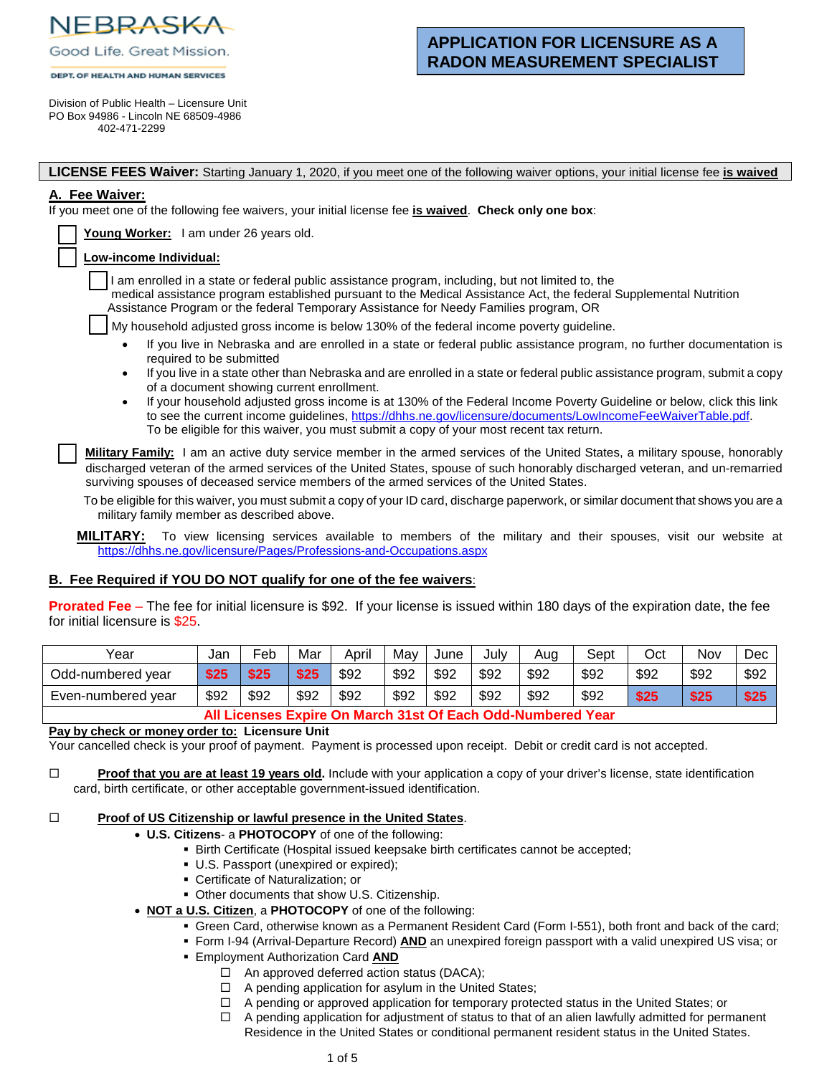NEBRASKA Good Life. Great Mission.

#### **DEPT. OF HEALTH AND HUMAN SERVICES**

# **APPLICATION FOR LICENSURE AS A RADON MEASUREMENT SPECIALIST**

Division of Public Health – Licensure Unit PO Box 94986 - Lincoln NE 68509-4986 402-471-2299

**LICENSE FEES Waiver:** Starting January 1, 2020, if you meet one of the following waiver options, your initial license fee **is waived**

# **A. Fee Waiver:**

If you meet one of the following fee waivers, your initial license fee **is waived**. **Check only one box**:

|  | Young Worker: I am under 26 years old. |
|--|----------------------------------------|
|  |                                        |

### Low-income Individual:

I am enrolled in a state or federal public assistance program, including, but not limited to, the

 medical assistance program established pursuant to the Medical Assistance Act, the federal Supplemental Nutrition Assistance Program or the federal Temporary Assistance for Needy Families program, OR

My household adjusted gross income is below 130% of the federal income poverty guideline.

- If you live in Nebraska and are enrolled in a state or federal public assistance program, no further documentation is required to be submitted
- If you live in a state other than Nebraska and are enrolled in a state or federal public assistance program, submit a copy of a document showing current enrollment.
- If your household adjusted gross income is at 130% of the Federal Income Poverty Guideline or below, click this link to see the current income guidelines, https[://dhhs.ne.gov/licensure/documents/LowIncomeFeeWaiverTable.pdf.](https://dhhs.ne.gov/licensure/documents/LowIncomeFeeWaiverTable.pdf) To be eligible for this waiver, you must submit a copy of your most recent tax return.

**Military Family:** I am an active duty service member in the armed services of the United States, a military spouse, honorably discharged veteran of the armed services of the United States, spouse of such honorably discharged veteran, and un-remarried surviving spouses of deceased service members of the armed services of the United States.

To be eligible for this waiver, you must submit a copy of your ID card, discharge paperwork, or similar document that shows you are a military family member as described above.

**MILITARY:** To view licensing services available to members of the military and their spouses, visit our website at https[://dhhs.ne.gov/licensure/Pages/Professions-and-Occupations.aspx](https://dhhs.ne.gov/licensure/Pages/Professions-and-Occupations.aspx)

# **B. Fee Required if YOU DO NOT qualify for one of the fee waivers**:

**Prorated Fee** – The fee for initial licensure is \$92. If your license is issued within 180 days of the expiration date, the fee for initial licensure is \$25.

| Year                                                        | Jan  | Feb  | Mar  | April | Mav  | June | July | Aug  | Sept | Oct  | Nov  | Dec  |
|-------------------------------------------------------------|------|------|------|-------|------|------|------|------|------|------|------|------|
| Odd-numbered year                                           | \$25 | \$25 | \$25 | \$92  | \$92 | \$92 | \$92 | \$92 | \$92 | \$92 | \$92 | \$92 |
| Even-numbered year                                          | \$92 | \$92 | \$92 | \$92  | \$92 | \$92 | \$92 | \$92 | \$92 | \$25 | \$25 | \$25 |
| All Licenses Expire On March 31st Of Each Odd-Numbered Year |      |      |      |       |      |      |      |      |      |      |      |      |

**Pay by check or money order to: Licensure Unit**

Your cancelled check is your proof of payment. Payment is processed upon receipt. Debit or credit card is not accepted.

**Proof that you are at least 19 years old.** Include with your application a copy of your driver's license, state identification card, birth certificate, or other acceptable government-issued identification.

### **Proof of US Citizenship or lawful presence in the United States.**

- **U.S. Citizens** a **PHOTOCOPY** of one of the following:
	- **Birth Certificate (Hospital issued keepsake birth certificates cannot be accepted;**
	- U.S. Passport (unexpired or expired);
	- Certificate of Naturalization; or
	- Other documents that show U.S. Citizenship.
- **NOT a U.S. Citizen**, a **PHOTOCOPY** of one of the following:
	- Green Card, otherwise known as a Permanent Resident Card (Form I-551), both front and back of the card;
	- Form I-94 (Arrival-Departure Record) **AND** an unexpired foreign passport with a valid unexpired US visa; or
	- Employment Authorization Card **AND**
		- $\Box$  An approved deferred action status (DACA);
		- $\Box$  A pending application for asylum in the United States;
		- $\Box$  A pending or approved application for temporary protected status in the United States; or
		- $\Box$  A pending application for adjustment of status to that of an alien lawfully admitted for permanent Residence in the United States or conditional permanent resident status in the United States.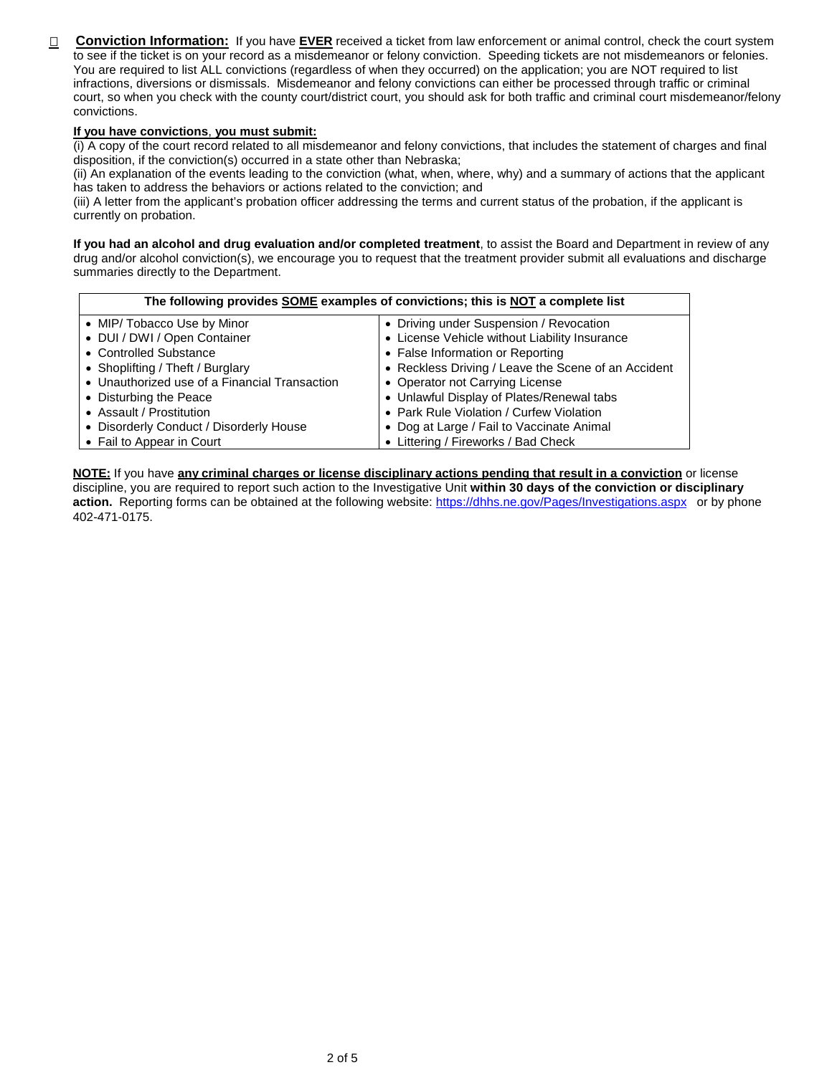□ Conviction Information: If you have EVER received a ticket from law enforcement or animal control, check the court system to see if the ticket is on your record as a misdemeanor or felony conviction. Speeding tickets are not misdemeanors or felonies. You are required to list ALL convictions (regardless of when they occurred) on the application; you are NOT required to list infractions, diversions or dismissals. Misdemeanor and felony convictions can either be processed through traffic or criminal court, so when you check with the county court/district court, you should ask for both traffic and criminal court misdemeanor/felony convictions.

### **If you have convictions**, **you must submit:**

(i) A copy of the court record related to all misdemeanor and felony convictions, that includes the statement of charges and final disposition, if the conviction(s) occurred in a state other than Nebraska;

(ii) An explanation of the events leading to the conviction (what, when, where, why) and a summary of actions that the applicant has taken to address the behaviors or actions related to the conviction; and

(iii) A letter from the applicant's probation officer addressing the terms and current status of the probation, if the applicant is currently on probation.

**If you had an alcohol and drug evaluation and/or completed treatment**, to assist the Board and Department in review of any drug and/or alcohol conviction(s), we encourage you to request that the treatment provider submit all evaluations and discharge summaries directly to the Department.

| The following provides SOME examples of convictions; this is NOT a complete list |                                                     |  |  |  |  |  |  |
|----------------------------------------------------------------------------------|-----------------------------------------------------|--|--|--|--|--|--|
| • MIP/ Tobacco Use by Minor                                                      | • Driving under Suspension / Revocation             |  |  |  |  |  |  |
| • DUI / DWI / Open Container                                                     | • License Vehicle without Liability Insurance       |  |  |  |  |  |  |
| • Controlled Substance                                                           | • False Information or Reporting                    |  |  |  |  |  |  |
| • Shoplifting / Theft / Burglary                                                 | • Reckless Driving / Leave the Scene of an Accident |  |  |  |  |  |  |
| • Unauthorized use of a Financial Transaction                                    | • Operator not Carrying License                     |  |  |  |  |  |  |
| • Disturbing the Peace                                                           | • Unlawful Display of Plates/Renewal tabs           |  |  |  |  |  |  |
| • Assault / Prostitution                                                         | • Park Rule Violation / Curfew Violation            |  |  |  |  |  |  |
| • Disorderly Conduct / Disorderly House                                          | • Dog at Large / Fail to Vaccinate Animal           |  |  |  |  |  |  |
| • Fail to Appear in Court                                                        | • Littering / Fireworks / Bad Check                 |  |  |  |  |  |  |

**NOTE:** If you have **any criminal charges or license disciplinary actions pending that result in a conviction** or license discipline, you are required to report such action to the Investigative Unit **within 30 days of the conviction or disciplinary action.** Reporting forms can be obtained at the following website: https[://dhhs.ne.gov/Pages/Investigations.aspx](https://dhhs.ne.gov/pages/investigations.aspx) or by phone 402-471-0175.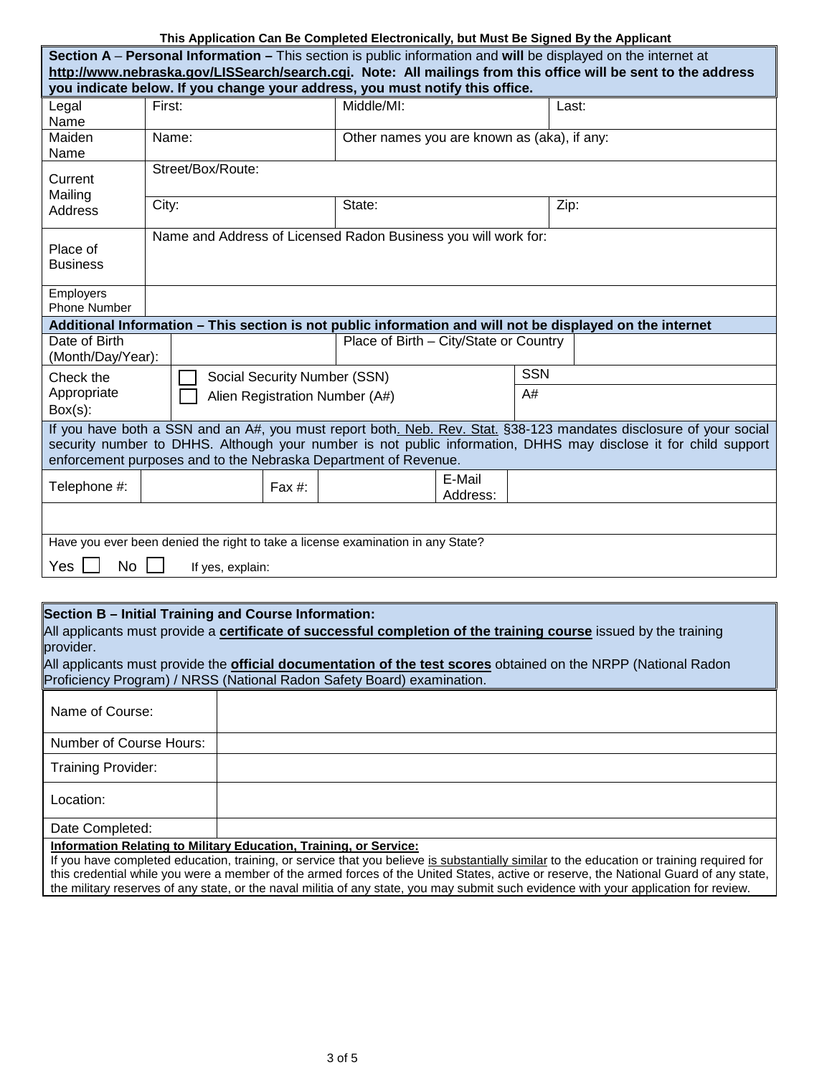# **This Application Can Be Completed Electronically, but Must Be Signed By the Applicant**

| Section A – Personal Information – This section is public information and will be displayed on the internet at                                                                                                                                                                                           |                   |                                                                |                                |                                             |  |            |                                                                                                           |  |  |  |  |
|----------------------------------------------------------------------------------------------------------------------------------------------------------------------------------------------------------------------------------------------------------------------------------------------------------|-------------------|----------------------------------------------------------------|--------------------------------|---------------------------------------------|--|------------|-----------------------------------------------------------------------------------------------------------|--|--|--|--|
| http://www.nebraska.gov/LISSearch/search.cgi. Note: All mailings from this office will be sent to the address                                                                                                                                                                                            |                   |                                                                |                                |                                             |  |            |                                                                                                           |  |  |  |  |
| you indicate below. If you change your address, you must notify this office.                                                                                                                                                                                                                             |                   |                                                                |                                |                                             |  |            |                                                                                                           |  |  |  |  |
| Legal                                                                                                                                                                                                                                                                                                    | First:            |                                                                |                                | Middle/MI:                                  |  |            | Last:                                                                                                     |  |  |  |  |
| Name                                                                                                                                                                                                                                                                                                     |                   |                                                                |                                |                                             |  |            |                                                                                                           |  |  |  |  |
| Maiden<br>Name:<br>Name                                                                                                                                                                                                                                                                                  |                   |                                                                |                                | Other names you are known as (aka), if any: |  |            |                                                                                                           |  |  |  |  |
| Current<br>Mailing                                                                                                                                                                                                                                                                                       | Street/Box/Route: |                                                                |                                |                                             |  |            |                                                                                                           |  |  |  |  |
| Address                                                                                                                                                                                                                                                                                                  | City:             |                                                                |                                | State:                                      |  |            | Zip:                                                                                                      |  |  |  |  |
| Place of<br><b>Business</b>                                                                                                                                                                                                                                                                              |                   | Name and Address of Licensed Radon Business you will work for: |                                |                                             |  |            |                                                                                                           |  |  |  |  |
| Employers<br>Phone Number                                                                                                                                                                                                                                                                                |                   |                                                                |                                |                                             |  |            |                                                                                                           |  |  |  |  |
|                                                                                                                                                                                                                                                                                                          |                   |                                                                |                                |                                             |  |            | Additional Information - This section is not public information and will not be displayed on the internet |  |  |  |  |
| Date of Birth<br>(Month/Day/Year):                                                                                                                                                                                                                                                                       |                   |                                                                |                                | Place of Birth - City/State or Country      |  |            |                                                                                                           |  |  |  |  |
| Check the                                                                                                                                                                                                                                                                                                |                   |                                                                | Social Security Number (SSN)   |                                             |  | <b>SSN</b> |                                                                                                           |  |  |  |  |
| Appropriate<br>$Box(s)$ :                                                                                                                                                                                                                                                                                |                   |                                                                | Alien Registration Number (A#) | A#                                          |  |            |                                                                                                           |  |  |  |  |
| If you have both a SSN and an A#, you must report both. Neb. Rev. Stat. §38-123 mandates disclosure of your social<br>security number to DHHS. Although your number is not public information, DHHS may disclose it for child support<br>enforcement purposes and to the Nebraska Department of Revenue. |                   |                                                                |                                |                                             |  |            |                                                                                                           |  |  |  |  |
| Telephone #:                                                                                                                                                                                                                                                                                             | Fax $#$ :         |                                                                | E-Mail<br>Address:             |                                             |  |            |                                                                                                           |  |  |  |  |
|                                                                                                                                                                                                                                                                                                          |                   |                                                                |                                |                                             |  |            |                                                                                                           |  |  |  |  |
| Have you ever been denied the right to take a license examination in any State?                                                                                                                                                                                                                          |                   |                                                                |                                |                                             |  |            |                                                                                                           |  |  |  |  |
| Yes<br>No<br>If yes, explain:                                                                                                                                                                                                                                                                            |                   |                                                                |                                |                                             |  |            |                                                                                                           |  |  |  |  |

# **Section B – Initial Training and Course Information:**

All applicants must provide a **certificate of successful completion of the training course** issued by the training provider.

All applicants must provide the **official documentation of the test scores** obtained on the NRPP (National Radon Proficiency Program) / NRSS (National Radon Safety Board) examination.

| Name of Course:                                                                                                                           |                                                                          |  |  |  |  |
|-------------------------------------------------------------------------------------------------------------------------------------------|--------------------------------------------------------------------------|--|--|--|--|
| Number of Course Hours:                                                                                                                   |                                                                          |  |  |  |  |
| <b>Training Provider:</b>                                                                                                                 |                                                                          |  |  |  |  |
| Location:                                                                                                                                 |                                                                          |  |  |  |  |
| Date Completed:                                                                                                                           |                                                                          |  |  |  |  |
|                                                                                                                                           | <b>Information Relating to Military Education, Training, or Service:</b> |  |  |  |  |
| If you have completed education, training, or service that you believe is substantially similar to the education or training required for |                                                                          |  |  |  |  |

this credential while you were a member of the armed forces of the United States, active or reserve, the National Guard of any state, the military reserves of any state, or the naval militia of any state, you may submit such evidence with your application for review.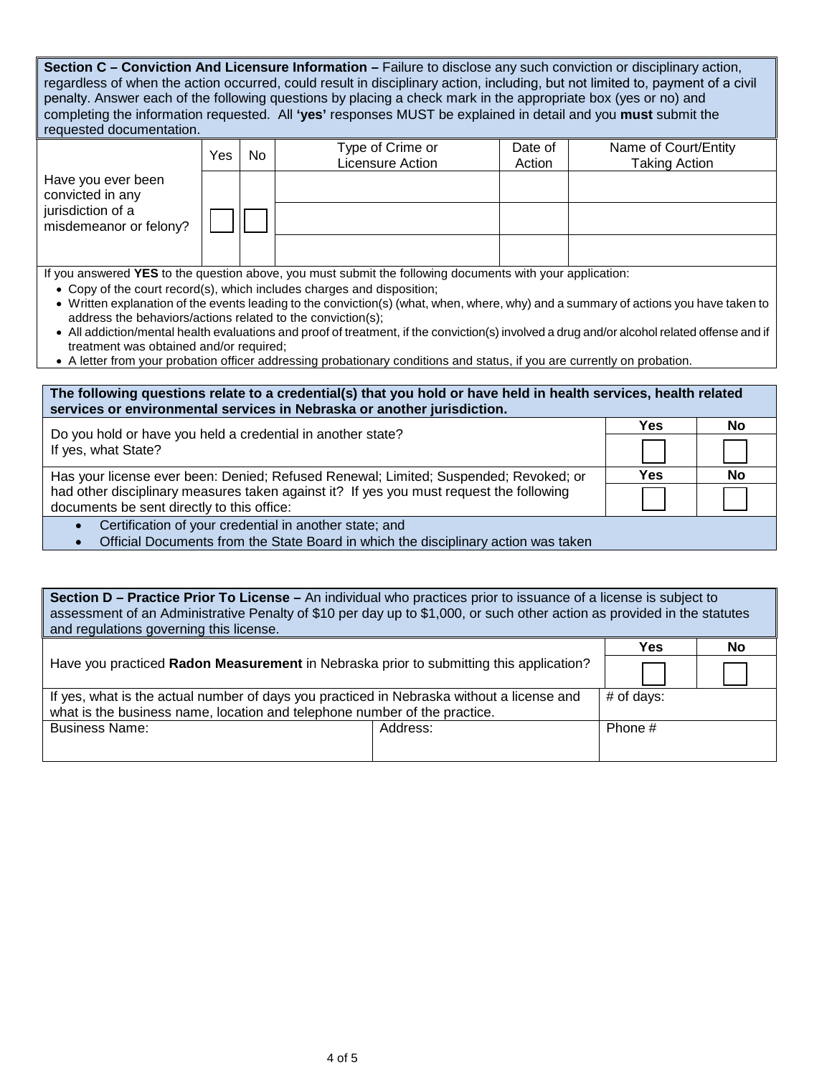| Section C - Conviction And Licensure Information - Failure to disclose any such conviction or disciplinary action,<br>regardless of when the action occurred, could result in disciplinary action, including, but not limited to, payment of a civil<br>penalty. Answer each of the following questions by placing a check mark in the appropriate box (yes or no) and<br>completing the information requested. All 'yes' responses MUST be explained in detail and you must submit the<br>requested documentation.                                                                                                                                                                                               |                                                                                                                                                                                              |  |  |  |  |  |  |  |  |  |
|-------------------------------------------------------------------------------------------------------------------------------------------------------------------------------------------------------------------------------------------------------------------------------------------------------------------------------------------------------------------------------------------------------------------------------------------------------------------------------------------------------------------------------------------------------------------------------------------------------------------------------------------------------------------------------------------------------------------|----------------------------------------------------------------------------------------------------------------------------------------------------------------------------------------------|--|--|--|--|--|--|--|--|--|
|                                                                                                                                                                                                                                                                                                                                                                                                                                                                                                                                                                                                                                                                                                                   | Type of Crime or<br>Name of Court/Entity<br>Date of<br>Yes<br>No<br>Licensure Action<br><b>Taking Action</b><br>Action                                                                       |  |  |  |  |  |  |  |  |  |
| Have you ever been<br>convicted in any<br>jurisdiction of a<br>misdemeanor or felony?                                                                                                                                                                                                                                                                                                                                                                                                                                                                                                                                                                                                                             |                                                                                                                                                                                              |  |  |  |  |  |  |  |  |  |
|                                                                                                                                                                                                                                                                                                                                                                                                                                                                                                                                                                                                                                                                                                                   |                                                                                                                                                                                              |  |  |  |  |  |  |  |  |  |
| If you answered YES to the question above, you must submit the following documents with your application:<br>• Copy of the court record(s), which includes charges and disposition;<br>• Written explanation of the events leading to the conviction(s) (what, when, where, why) and a summary of actions you have taken to<br>address the behaviors/actions related to the conviction(s);<br>• All addiction/mental health evaluations and proof of treatment, if the conviction(s) involved a drug and/or alcohol related offense and if<br>treatment was obtained and/or required;<br>• A letter from your probation officer addressing probationary conditions and status, if you are currently on probation. |                                                                                                                                                                                              |  |  |  |  |  |  |  |  |  |
| The following questions relate to a credential(s) that you hold or have held in health services, health related<br>services or environmental services in Nebraska or another jurisdiction.                                                                                                                                                                                                                                                                                                                                                                                                                                                                                                                        |                                                                                                                                                                                              |  |  |  |  |  |  |  |  |  |
| <b>Yes</b><br>No<br>Do you hold or have you held a credential in another state?                                                                                                                                                                                                                                                                                                                                                                                                                                                                                                                                                                                                                                   |                                                                                                                                                                                              |  |  |  |  |  |  |  |  |  |
| If yes, what State?                                                                                                                                                                                                                                                                                                                                                                                                                                                                                                                                                                                                                                                                                               |                                                                                                                                                                                              |  |  |  |  |  |  |  |  |  |
|                                                                                                                                                                                                                                                                                                                                                                                                                                                                                                                                                                                                                                                                                                                   | Has your license ever been: Denied; Refused Renewal; Limited; Suspended; Revoked; or<br>Yes<br>No<br>had other disciplinary measures taken against it? If yes you must request the following |  |  |  |  |  |  |  |  |  |
|                                                                                                                                                                                                                                                                                                                                                                                                                                                                                                                                                                                                                                                                                                                   | documents be sent directly to this office:<br>Certification of your credential in another state; and                                                                                         |  |  |  |  |  |  |  |  |  |
| Official Documents from the State Board in which the disciplinary action was taken<br>$\bullet$                                                                                                                                                                                                                                                                                                                                                                                                                                                                                                                                                                                                                   |                                                                                                                                                                                              |  |  |  |  |  |  |  |  |  |
|                                                                                                                                                                                                                                                                                                                                                                                                                                                                                                                                                                                                                                                                                                                   |                                                                                                                                                                                              |  |  |  |  |  |  |  |  |  |
| Section D - Practice Prior To License - An individual who practices prior to issuance of a license is subject to<br>assessment of an Administrative Penalty of \$10 per day up to \$1,000, or such other action as provided in the statutes<br>and regulations governing this license.                                                                                                                                                                                                                                                                                                                                                                                                                            |                                                                                                                                                                                              |  |  |  |  |  |  |  |  |  |
| <b>Yes</b><br><b>No</b>                                                                                                                                                                                                                                                                                                                                                                                                                                                                                                                                                                                                                                                                                           |                                                                                                                                                                                              |  |  |  |  |  |  |  |  |  |
|                                                                                                                                                                                                                                                                                                                                                                                                                                                                                                                                                                                                                                                                                                                   | Have you practiced Radon Measurement in Nebraska prior to submitting this application?                                                                                                       |  |  |  |  |  |  |  |  |  |
| If yes, what is the actual number of days you practiced in Nebraska without a license and<br># of days:<br>what is the business name, location and telephone number of the practice.                                                                                                                                                                                                                                                                                                                                                                                                                                                                                                                              |                                                                                                                                                                                              |  |  |  |  |  |  |  |  |  |
| <b>Business Name:</b><br>Phone #<br>Address:                                                                                                                                                                                                                                                                                                                                                                                                                                                                                                                                                                                                                                                                      |                                                                                                                                                                                              |  |  |  |  |  |  |  |  |  |